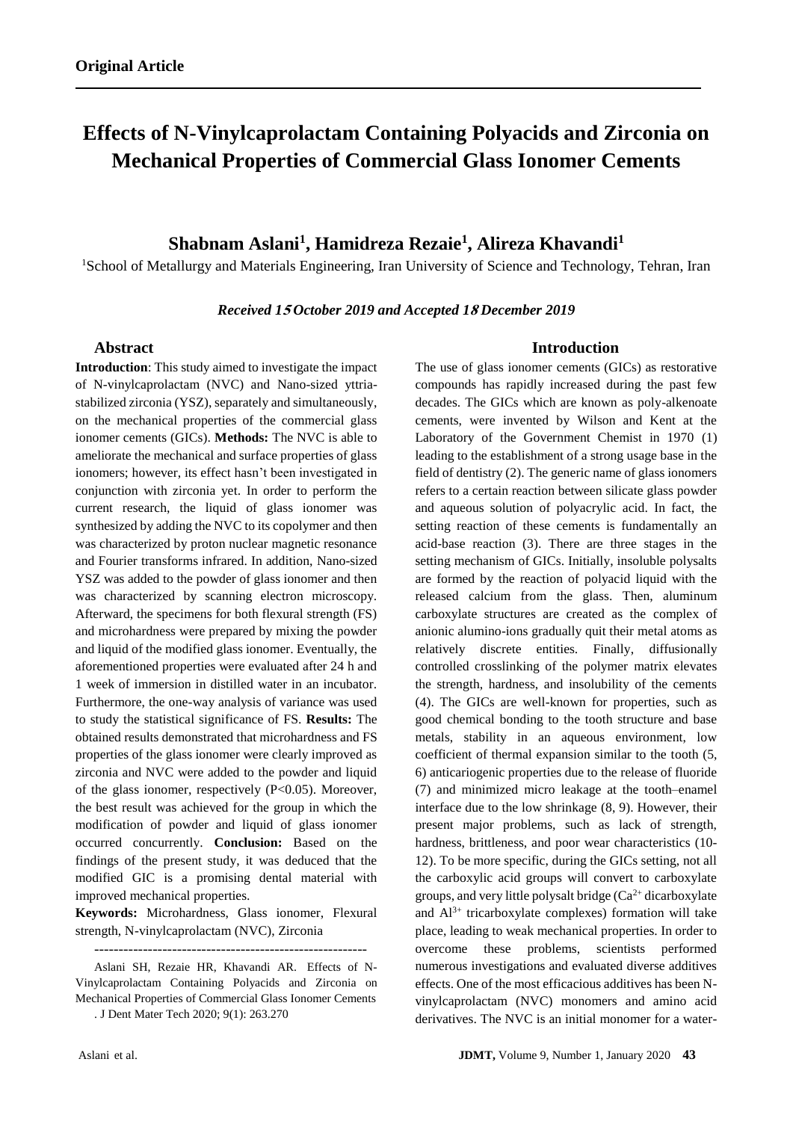# **Effects of N-Vinylcaprolactam Containing Polyacids and Zirconia on Mechanical Properties of Commercial Glass Ionomer Cements**

## **Shabnam Aslani<sup>1</sup> , [Hamidreza Rezaie](http://www.sciencedirect.com/science/article/pii/S0272884216304394)[1](http://www.sciencedirect.com/science/article/pii/S0272884216304394#aff0005) , Alireza Khavandi<sup>1</sup>**

<sup>1</sup>School of Metallurgy and Materials Engineering, Iran University of Science and Technology, Tehran, Iran

*Received 1***<sup>5</sup>** *October 2019 and Accepted 1***<sup>8</sup>** *December 2019*

## **Abstract**

**Introduction**: This study aimed to investigate the impact of N-vinylcaprolactam (NVC) and Nano-sized yttriastabilized zirconia (YSZ), separately and simultaneously, on the mechanical properties of the commercial glass ionomer cements (GICs). **Methods:** The NVC is able to ameliorate the mechanical and surface properties of glass ionomers; however, its effect hasn't been investigated in conjunction with zirconia yet. In order to perform the current research, the liquid of glass ionomer was synthesized by adding the NVC to its copolymer and then was characterized by proton nuclear magnetic resonance and Fourier transforms infrared. In addition, Nano-sized YSZ was added to the powder of glass ionomer and then was characterized by scanning electron microscopy. Afterward, the specimens for both flexural strength (FS) and microhardness were prepared by mixing the powder and liquid of the modified glass ionomer. Eventually, the aforementioned properties were evaluated after 24 h and 1 week of immersion in distilled water in an incubator. Furthermore, the one-way analysis of variance was used to study the statistical significance of FS. **Results:** The obtained results demonstrated that microhardness and FS properties of the glass ionomer were clearly improved as zirconia and NVC were added to the powder and liquid of the glass ionomer, respectively (P<0.05). Moreover, the best result was achieved for the group in which the modification of powder and liquid of glass ionomer occurred concurrently. **Conclusion:** Based on the findings of the present study, it was deduced that the modified GIC is a promising dental material with improved mechanical properties.

**Keywords:** Microhardness, Glass ionomer, Flexural strength, N-vinylcaprolactam (NVC), Zirconia

--------------------------------------------------------

Aslani SH, Rezaie HR, Khavandi AR. Effects of N-Vinylcaprolactam Containing Polyacids and Zirconia on Mechanical Properties of Commercial Glass Ionomer Cements

. J Dent Mater Tech 2020; 9(1): 263.270

### **Introduction**

The use of glass ionomer cements (GICs) as restorative compounds has rapidly increased during the past few decades. The GICs which are known as poly-alkenoate cements, were invented by Wilson and Kent at the Laboratory of the Government Chemist in 1970 (1) leading to the establishment of a strong usage base in the field of dentistry (2). The generic name of glass ionomers refers to a certain reaction between silicate glass powder and aqueous solution of polyacrylic acid. In fact, the setting reaction of these cements is fundamentally an acid-base reaction (3). There are three stages in the setting mechanism of GICs. Initially, insoluble polysalts are formed by the reaction of polyacid liquid with the released calcium from the glass. Then, aluminum carboxylate structures are created as the complex of anionic alumino-ions gradually quit their metal atoms as relatively discrete entities. Finally, diffusionally controlled crosslinking of the polymer matrix elevates the strength, hardness, and insolubility of the cements (4). The GICs are well-known for properties, such as good chemical bonding to the tooth structure and base metals, stability in an aqueous environment, low coefficient of thermal expansion similar to the tooth (5, 6) anticariogenic properties due to the release of fluoride (7) and minimized micro leakage at the tooth–enamel interface due to the low shrinkage (8, 9). However, their present major problems, such as lack of strength, hardness, brittleness, and poor wear characteristics (10- 12). To be more specific, during the GICs setting, not all the carboxylic acid groups will convert to carboxylate groups, and very little polysalt bridge  $(Ca<sup>2+</sup> dicarboxylate)$ and  $Al^{3+}$  tricarboxylate complexes) formation will take place, leading to weak mechanical properties. In order to overcome these problems, scientists performed numerous investigations and evaluated diverse additives effects. One of the most efficacious additives has been Nvinylcaprolactam (NVC) monomers and amino acid derivatives. The NVC is an initial monomer for a water-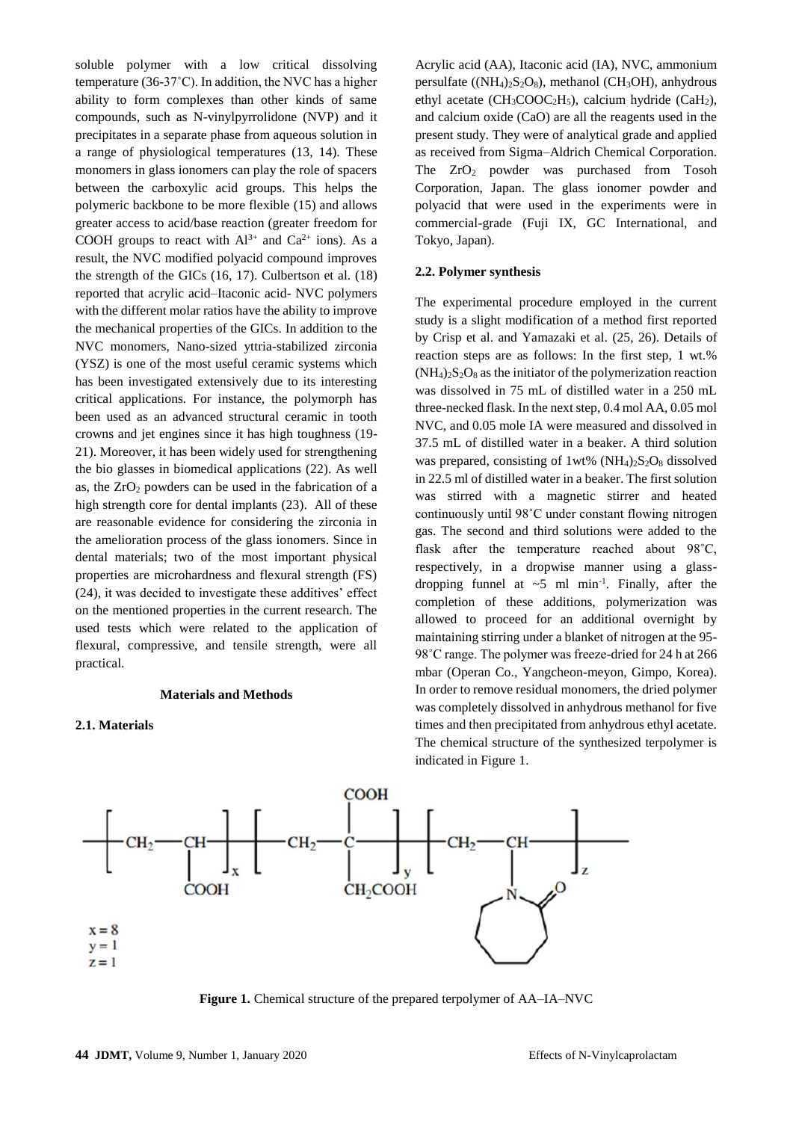soluble polymer with a low critical dissolving temperature (36-37˚C). In addition, the NVC has a higher ability to form complexes than other kinds of same compounds, such as N-vinylpyrrolidone (NVP) and it precipitates in a separate phase from aqueous solution in a range of physiological temperatures (13, 14). These monomers in glass ionomers can play the role of spacers between the carboxylic acid groups. This helps the polymeric backbone to be more flexible (15) and allows greater access to acid/base reaction (greater freedom for COOH groups to react with  $Al^{3+}$  and  $Ca^{2+}$  ions). As a result, the NVC modified polyacid compound improves the strength of the GICs (16, 17). Culbertson et al. (18) reported that acrylic acid–Itaconic acid- NVC polymers with the different molar ratios have the ability to improve the mechanical properties of the GICs. In addition to the NVC monomers, Nano-sized yttria-stabilized zirconia (YSZ) is one of the most useful ceramic systems which has been investigated extensively due to its interesting critical applications. For instance, the polymorph has been used as an advanced structural ceramic in tooth crowns and jet engines since it has high toughness (19- 21). Moreover, it has been widely used for strengthening the bio glasses in biomedical applications (22). As well as, the  $ZrO<sub>2</sub>$  powders can be used in the fabrication of a high strength core for dental implants (23). All of these are reasonable evidence for considering the zirconia in the amelioration process of the glass ionomers. Since in dental materials; two of the most important physical properties are microhardness and flexural strength (FS) (24), it was decided to investigate these additives' effect on the mentioned properties in the current research. The used tests which were related to the application of flexural, compressive, and tensile strength, were all practical.

#### **Materials and Methods**

#### **2.1. Materials**

Acrylic acid (AA), Itaconic acid (IA), NVC, ammonium persulfate ( $(NH_4)_2S_2O_8$ ), methanol (CH<sub>3</sub>OH), anhydrous ethyl acetate ( $CH_3COOC_2H_5$ ), calcium hydride (CaH<sub>2</sub>), and calcium oxide (CaO) are all the reagents used in the present study. They were of analytical grade and applied as received from Sigma–Aldrich Chemical Corporation. The  $ZrO<sub>2</sub>$  powder was purchased from Tosoh Corporation, Japan. The glass ionomer powder and polyacid that were used in the experiments were in commercial-grade (Fuji IX, GC International, and Tokyo, Japan).

#### **2.2. Polymer synthesis**

The experimental procedure employed in the current study is a slight modification of a method first reported by Crisp et al. and Yamazaki et al. (25, 26). Details of reaction steps are as follows: In the first step, 1 wt.%  $(NH_4)_2S_2O_8$  as the initiator of the polymerization reaction was dissolved in 75 mL of distilled water in a 250 mL three-necked flask. In the next step, 0.4 mol AA, 0.05 mol NVC, and 0.05 mole IA were measured and dissolved in 37.5 mL of distilled water in a beaker. A third solution was prepared, consisting of  $1wt\%$  (NH<sub>4</sub>)<sub>2</sub>S<sub>2</sub>O<sub>8</sub> dissolved in 22.5 ml of distilled water in a beaker. The first solution was stirred with a magnetic stirrer and heated continuously until 98˚C under constant flowing nitrogen gas. The second and third solutions were added to the flask after the temperature reached about 98˚C, respectively, in a dropwise manner using a glassdropping funnel at  $\sim$ 5 ml min<sup>-1</sup>. Finally, after the completion of these additions, polymerization was allowed to proceed for an additional overnight by maintaining stirring under a blanket of nitrogen at the 95- 98°C range. The polymer was freeze-dried for 24 h at 266 mbar (Operan Co., Yangcheon-meyon, Gimpo, Korea). In order to remove residual monomers, the dried polymer was completely dissolved in anhydrous methanol for five times and then precipitated from anhydrous ethyl acetate. The chemical structure of the synthesized terpolymer is indicated in Figure 1.



**Figure 1.** Chemical structure of the prepared terpolymer of AA–IA–NVC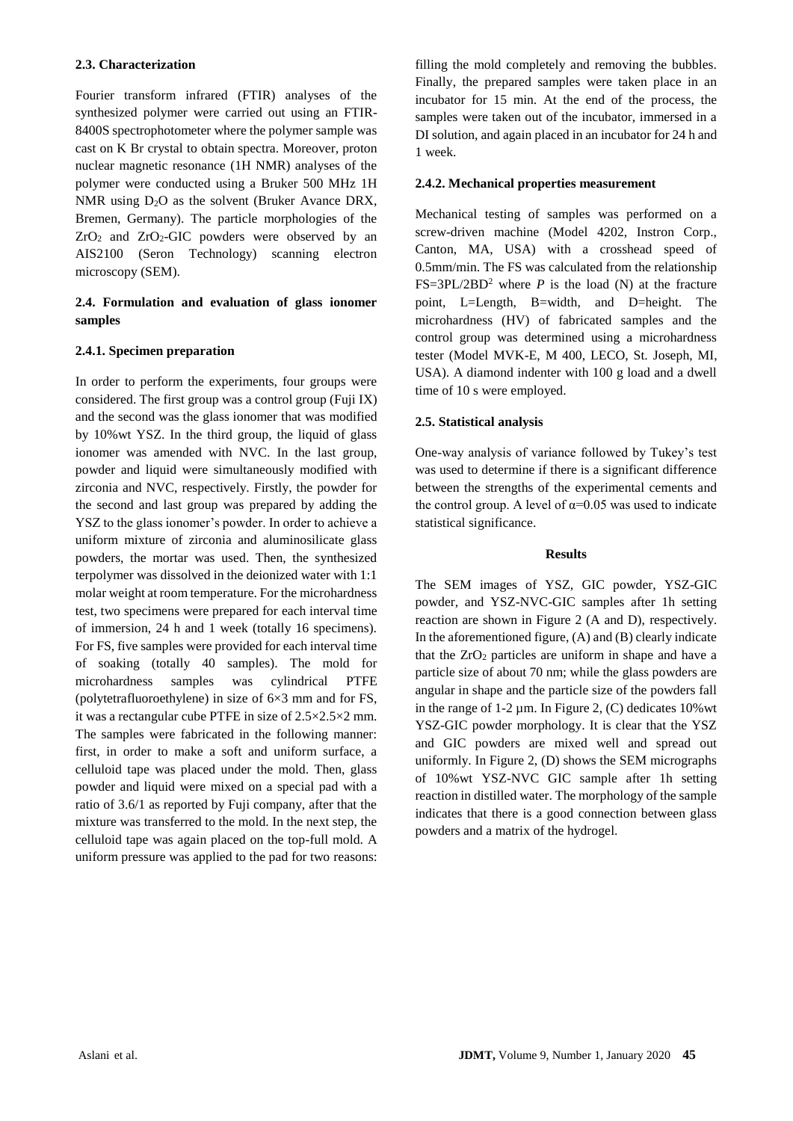### **2.3. Characterization**

Fourier transform infrared (FTIR) analyses of the synthesized polymer were carried out using an FTIR-8400S spectrophotometer where the polymer sample was cast on K Br crystal to obtain spectra. Moreover, proton nuclear magnetic resonance (1H NMR) analyses of the polymer were conducted using a Bruker 500 MHz 1H NMR using  $D_2O$  as the solvent (Bruker Avance DRX, Bremen, Germany). The particle morphologies of the  $ZrO<sub>2</sub>$  and  $ZrO<sub>2</sub>-GIC$  powders were observed by an AIS2100 (Seron Technology) scanning electron microscopy (SEM).

## **2.4. Formulation and evaluation of glass ionomer samples**

## **2.4.1. Specimen preparation**

In order to perform the experiments, four groups were considered. The first group was a control group (Fuji IX) and the second was the glass ionomer that was modified by 10%wt YSZ. In the third group, the liquid of glass ionomer was amended with NVC. In the last group, powder and liquid were simultaneously modified with zirconia and NVC, respectively. Firstly, the powder for the second and last group was prepared by adding the YSZ to the glass ionomer's powder. In order to achieve a uniform mixture of zirconia and aluminosilicate glass powders, the mortar was used. Then, the synthesized terpolymer was dissolved in the deionized water with 1:1 molar weight at room temperature. For the microhardness test, two specimens were prepared for each interval time of immersion, 24 h and 1 week (totally 16 specimens). For FS, five samples were provided for each interval time of soaking (totally 40 samples). The mold for microhardness samples was cylindrical PTFE (polytetrafluoroethylene) in size of 6×3 mm and for FS, it was a rectangular cube PTFE in size of 2.5×2.5×2 mm. The samples were fabricated in the following manner: first, in order to make a soft and uniform surface, a celluloid tape was placed under the mold. Then, glass powder and liquid were mixed on a special pad with a ratio of 3.6/1 as reported by Fuji company, after that the mixture was transferred to the mold. In the next step, the celluloid tape was again placed on the top-full mold. A uniform pressure was applied to the pad for two reasons:

filling the mold completely and removing the bubbles. Finally, the prepared samples were taken place in an incubator for 15 min. At the end of the process, the samples were taken out of the incubator, immersed in a DI solution, and again placed in an incubator for 24 h and 1 week.

## **2.4.2. Mechanical properties measurement**

Mechanical testing of samples was performed on a screw-driven machine (Model 4202, Instron Corp., Canton, MA, USA) with a crosshead speed of 0.5mm/min. The FS was calculated from the relationship  $FS = 3PL/2BD^2$  where *P* is the load (N) at the fracture point, L=Length, B=width, and D=height. The microhardness (HV) of fabricated samples and the control group was determined using a microhardness tester (Model MVK-E, M 400, LECO, St. Joseph, MI, USA). A diamond indenter with 100 g load and a dwell time of 10 s were employed.

## **2.5. Statistical analysis**

One-way analysis of variance followed by Tukey's test was used to determine if there is a significant difference between the strengths of the experimental cements and the control group. A level of  $\alpha$ =0.05 was used to indicate statistical significance.

#### **Results**

The SEM images of YSZ, GIC powder, YSZ-GIC powder, and YSZ-NVC-GIC samples after 1h setting reaction are shown in Figure 2 (A and D), respectively. In the aforementioned figure, (A) and (B) clearly indicate that the  $ZrO<sub>2</sub>$  particles are uniform in shape and have a particle size of about 70 nm; while the glass powders are angular in shape and the particle size of the powders fall in the range of 1-2  $\mu$ m. In Figure 2, (C) dedicates 10% wt YSZ-GIC powder morphology. It is clear that the YSZ and GIC powders are mixed well and spread out uniformly. In Figure 2, (D) shows the SEM micrographs of 10%wt YSZ-NVC GIC sample after 1h setting reaction in distilled water. The morphology of the sample indicates that there is a good connection between glass powders and a matrix of the hydrogel.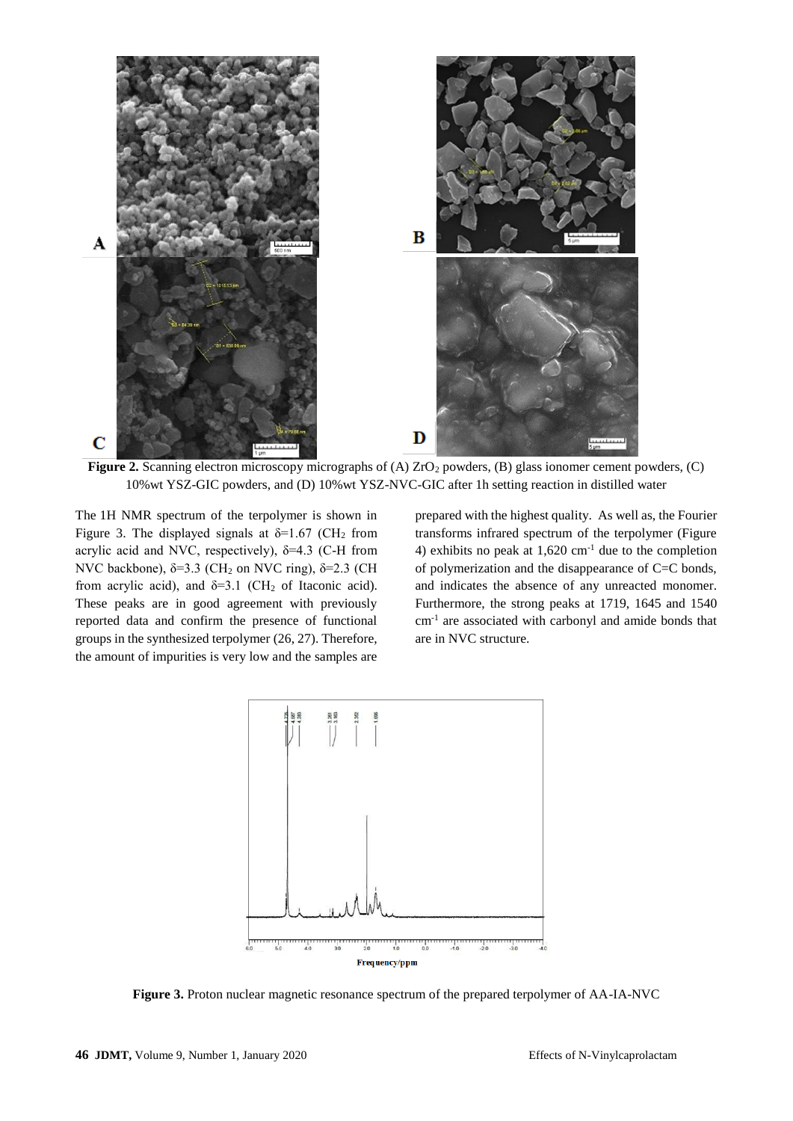

**Figure 2.** Scanning electron microscopy micrographs of (A)  $ZrO<sub>2</sub>$  powders, (B) glass ionomer cement powders, (C) 10%wt YSZ-GIC powders, and (D) 10%wt YSZ-NVC-GIC after 1h setting reaction in distilled water

The 1H NMR spectrum of the terpolymer is shown in Figure 3. The displayed signals at  $\delta$ =1.67 (CH<sub>2</sub> from acrylic acid and NVC, respectively),  $\delta = 4.3$  (C-H from NVC backbone),  $\delta = 3.3$  (CH<sub>2</sub> on NVC ring),  $\delta = 2.3$  (CH from acrylic acid), and  $\delta=3.1$  (CH<sub>2</sub> of Itaconic acid). These peaks are in good agreement with previously reported data and confirm the presence of functional groups in the synthesized terpolymer (26, 27). Therefore, the amount of impurities is very low and the samples are

prepared with the highest quality. As well as, the Fourier transforms infrared spectrum of the terpolymer (Figure 4) exhibits no peak at  $1,620$  cm<sup>-1</sup> due to the completion of polymerization and the disappearance of C=C bonds, and indicates the absence of any unreacted monomer. Furthermore, the strong peaks at 1719, 1645 and 1540 cm-1 are associated with carbonyl and amide bonds that are in NVC structure.



**Figure 3.** Proton nuclear magnetic resonance spectrum of the prepared terpolymer of AA-IA-NVC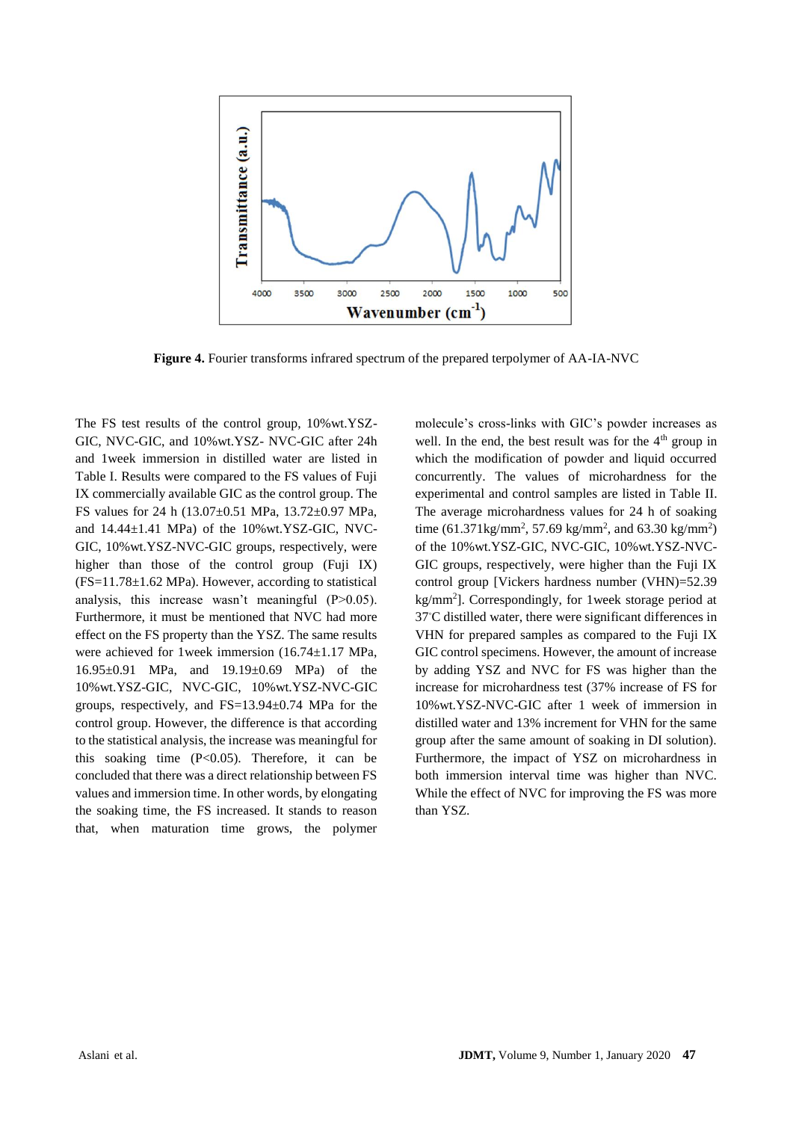

**Figure 4.** Fourier transforms infrared spectrum of the prepared terpolymer of AA-IA-NVC

The FS test results of the control group, 10%wt.YSZ-GIC, NVC-GIC, and 10%wt.YSZ- NVC-GIC after 24h and 1week immersion in distilled water are listed in Table I. Results were compared to the FS values of Fuji IX commercially available GIC as the control group. The FS values for 24 h (13.07±0.51 MPa, 13.72±0.97 MPa, and  $14.44\pm1.41$  MPa) of the  $10\%$  wt.YSZ-GIC, NVC-GIC, 10%wt.YSZ-NVC-GIC groups, respectively, were higher than those of the control group (Fuji IX)  $(FS=11.78\pm1.62$  MPa). However, according to statistical analysis, this increase wasn't meaningful (P>0.05). Furthermore, it must be mentioned that NVC had more effect on the FS property than the YSZ. The same results were achieved for 1week immersion (16.74±1.17 MPa, 16.95±0.91 MPa, and 19.19±0.69 MPa) of the 10%wt.YSZ-GIC, NVC-GIC, 10%wt.YSZ-NVC-GIC groups, respectively, and FS=13.94±0.74 MPa for the control group. However, the difference is that according to the statistical analysis, the increase was meaningful for this soaking time  $(P<0.05)$ . Therefore, it can be concluded that there was a direct relationship between FS values and immersion time. In other words, by elongating the soaking time, the FS increased. It stands to reason that, when maturation time grows, the polymer molecule's cross-links with GIC's powder increases as well. In the end, the best result was for the  $4<sup>th</sup>$  group in which the modification of powder and liquid occurred concurrently. The values of microhardness for the experimental and control samples are listed in Table II. The average microhardness values for 24 h of soaking time  $(61.371 \text{kg/mm}^2, 57.69 \text{ kg/mm}^2, \text{ and } 63.30 \text{ kg/mm}^2)$ of the 10%wt.YSZ-GIC, NVC-GIC, 10%wt.YSZ-NVC-GIC groups, respectively, were higher than the Fuji IX control group [Vickers hardness number (VHN)=52.39 kg/mm<sup>2</sup> ]. Correspondingly, for 1week storage period at 37℃ distilled water, there were significant differences in VHN for prepared samples as compared to the Fuji IX GIC control specimens. However, the amount of increase by adding YSZ and NVC for FS was higher than the increase for microhardness test (37% increase of FS for 10%wt.YSZ-NVC-GIC after 1 week of immersion in distilled water and 13% increment for VHN for the same group after the same amount of soaking in DI solution). Furthermore, the impact of YSZ on microhardness in both immersion interval time was higher than NVC. While the effect of NVC for improving the FS was more than YSZ.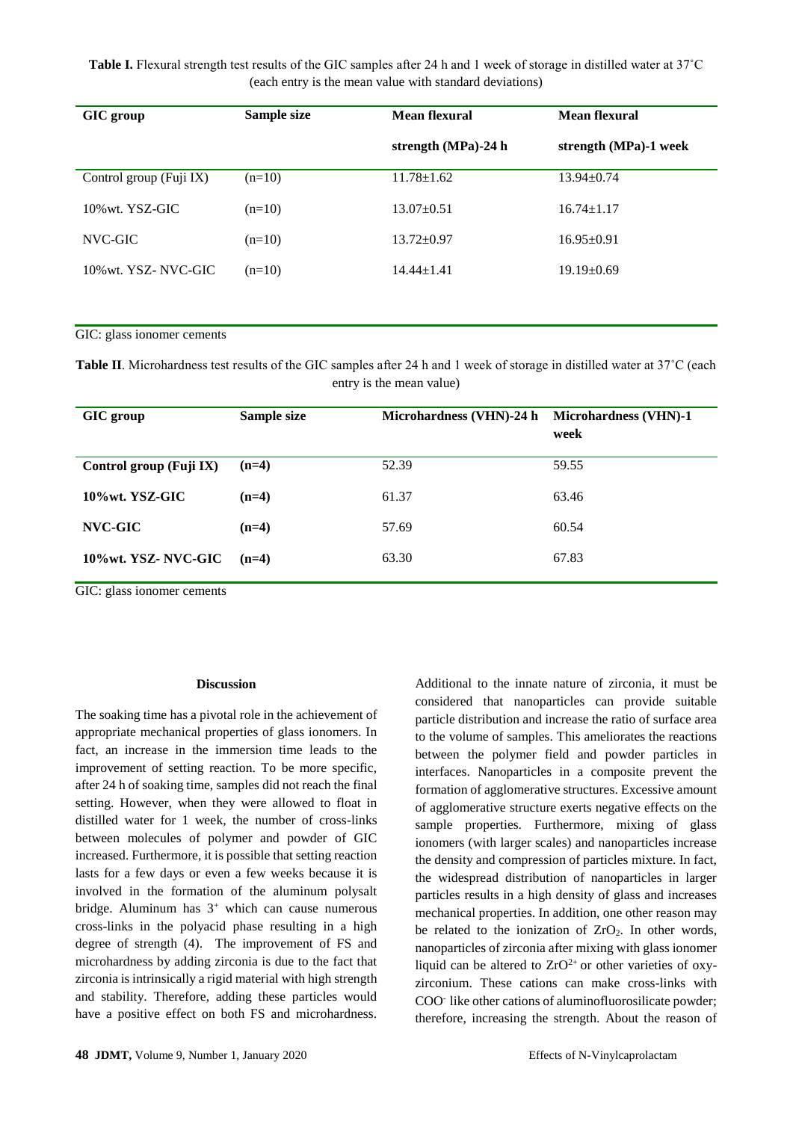**Table I.** Flexural strength test results of the GIC samples after 24 h and 1 week of storage in distilled water at 37˚C (each entry is the mean value with standard deviations)

| GIC group               | Sample size | <b>Mean flexural</b> | Mean flexural         |
|-------------------------|-------------|----------------------|-----------------------|
|                         |             | strength (MPa)-24 h  | strength (MPa)-1 week |
| Control group (Fuji IX) | $(n=10)$    | $11.78 \pm 1.62$     | $13.94 \pm 0.74$      |
| $10\%$ wt. YSZ-GIC      | $(n=10)$    | $13.07 \pm 0.51$     | $16.74 \pm 1.17$      |
| NVC-GIC                 | $(n=10)$    | $13.72 \pm 0.97$     | $16.95 \pm 0.91$      |
| 10% wt. YSZ-NVC-GIC     | $(n=10)$    | $14.44 \pm 1.41$     | $19.19 \pm 0.69$      |

GIC: glass ionomer cements

**Table II**. Microhardness test results of the GIC samples after 24 h and 1 week of storage in distilled water at 37°C (each entry is the mean value)

| GIC group               | Sample size | Microhardness (VHN)-24 h | <b>Microhardness (VHN)-1</b><br>week |
|-------------------------|-------------|--------------------------|--------------------------------------|
| Control group (Fuji IX) | $(n=4)$     | 52.39                    | 59.55                                |
| 10%wt. YSZ-GIC          | $(n=4)$     | 61.37                    | 63.46                                |
| NVC-GIC                 | $(n=4)$     | 57.69                    | 60.54                                |
| 10%wt. YSZ-NVC-GIC      | $(n=4)$     | 63.30                    | 67.83                                |

GIC: glass ionomer cements

#### **Discussion**

The soaking time has a pivotal role in the achievement of appropriate mechanical properties of glass ionomers. In fact, an increase in the immersion time leads to the improvement of setting reaction. To be more specific, after 24 h of soaking time, samples did not reach the final setting. However, when they were allowed to float in distilled water for 1 week, the number of cross-links between molecules of polymer and powder of GIC increased. Furthermore, it is possible that setting reaction lasts for a few days or even a few weeks because it is involved in the formation of the aluminum polysalt bridge. Aluminum has  $3^+$  which can cause numerous cross-links in the polyacid phase resulting in a high degree of strength (4). The improvement of FS and microhardness by adding zirconia is due to the fact that zirconia is intrinsically a rigid material with high strength and stability. Therefore, adding these particles would have a positive effect on both FS and microhardness.

Additional to the innate nature of zirconia, it must be considered that nanoparticles can provide suitable particle distribution and increase the ratio of surface area to the volume of samples. This ameliorates the reactions between the polymer field and powder particles in interfaces. Nanoparticles in a composite prevent the formation of agglomerative structures. Excessive amount of agglomerative structure exerts negative effects on the sample properties. Furthermore, mixing of glass ionomers (with larger scales) and nanoparticles increase the density and compression of particles mixture. In fact, the widespread distribution of nanoparticles in larger particles results in a high density of glass and increases mechanical properties. In addition, one other reason may be related to the ionization of  $ZrO<sub>2</sub>$ . In other words, nanoparticles of zirconia after mixing with glass ionomer liquid can be altered to  $ZrO^{2+}$  or other varieties of oxyzirconium. These cations can make cross-links with COO-like other cations of aluminofluorosilicate powder; therefore, increasing the strength. About the reason of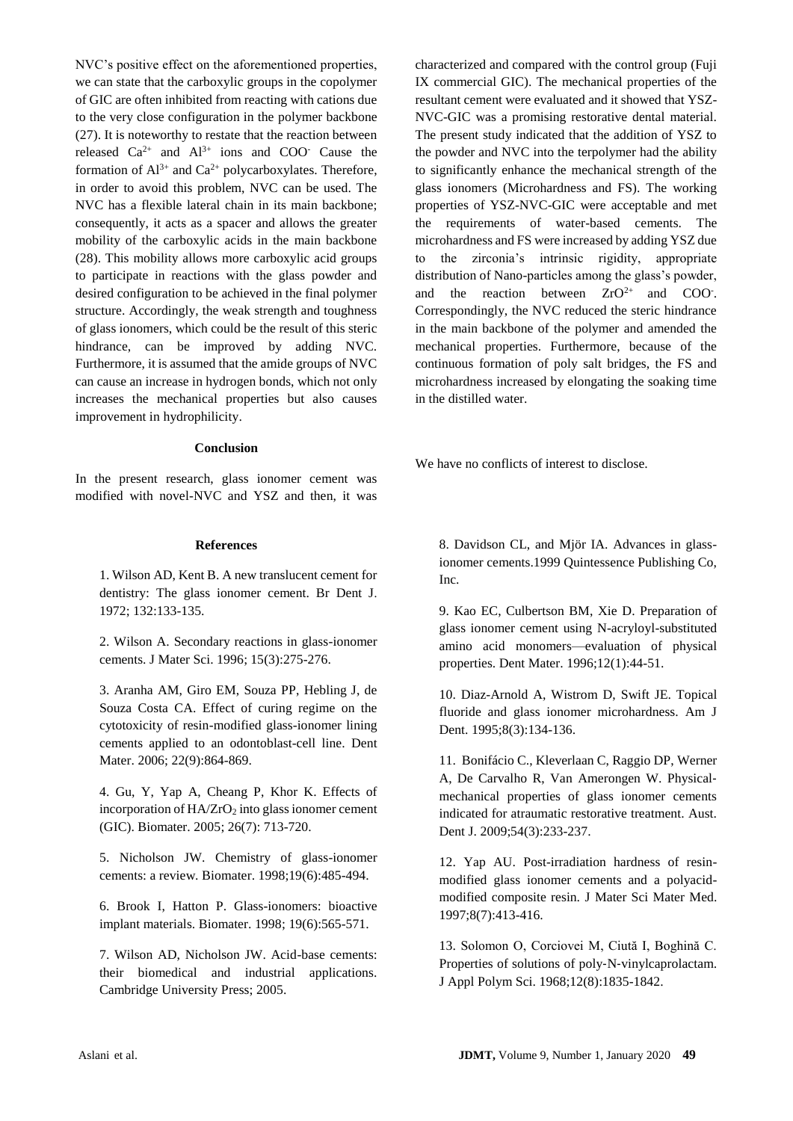NVC's positive effect on the aforementioned properties, we can state that the carboxylic groups in the copolymer of GIC are often inhibited from reacting with cations due to the very close configuration in the polymer backbone (27). It is noteworthy to restate that the reaction between released  $Ca^{2+}$  and  $Al^{3+}$  ions and COO<sup>-</sup> Cause the formation of  $Al^{3+}$  and  $Ca^{2+}$  polycarboxylates. Therefore, in order to avoid this problem, NVC can be used. The NVC has a flexible lateral chain in its main backbone; consequently, it acts as a spacer and allows the greater mobility of the carboxylic acids in the main backbone (28). This mobility allows more carboxylic acid groups to participate in reactions with the glass powder and desired configuration to be achieved in the final polymer structure. Accordingly, the weak strength and toughness of glass ionomers, which could be the result of this steric hindrance, can be improved by adding NVC. Furthermore, it is assumed that the amide groups of NVC can cause an increase in hydrogen bonds, which not only increases the mechanical properties but also causes improvement in hydrophilicity.

#### **Conclusion**

In the present research, glass ionomer cement was modified with novel-NVC and YSZ and then, it was

#### **References**

1. Wilson AD, Kent B. A new translucent cement for dentistry: The glass ionomer cement. Br Dent J. 1972; 132:133-135.

2. Wilson A. Secondary reactions in glass-ionomer cements. J Mater Sci. 1996; 15(3):275-276.

3. Aranha AM, Giro EM, Souza PP, Hebling J, de Souza Costa CA. Effect of curing regime on the cytotoxicity of resin-modified glass-ionomer lining cements applied to an odontoblast-cell line. Dent Mater. 2006; 22(9):864-869.

4. Gu, Y, Yap A, Cheang P, Khor K. Effects of incorporation of  $HA/ZrO<sub>2</sub>$  into glass ionomer cement (GIC). Biomater. 2005; 26(7): 713-720.

5. Nicholson JW. Chemistry of glass-ionomer cements: a review. Biomater. 1998;19(6):485-494.

6. Brook I, Hatton P. Glass-ionomers: bioactive implant materials. Biomater. 1998; 19(6):565-571.

7. Wilson AD, Nicholson JW. Acid-base cements: their biomedical and industrial applications. Cambridge University Press; 2005.

characterized and compared with the control group (Fuji IX commercial GIC). The mechanical properties of the resultant cement were evaluated and it showed that YSZ-NVC-GIC was a promising restorative dental material. The present study indicated that the addition of YSZ to the powder and NVC into the terpolymer had the ability to significantly enhance the mechanical strength of the glass ionomers (Microhardness and FS). The working properties of YSZ-NVC-GIC were acceptable and met the requirements of water-based cements. The microhardness and FS were increased by adding YSZ due to the zirconia's intrinsic rigidity, appropriate distribution of Nano-particles among the glass's powder, and the reaction between  $ZrO^{2+}$  and COO. Correspondingly, the NVC reduced the steric hindrance in the main backbone of the polymer and amended the mechanical properties. Furthermore, because of the continuous formation of poly salt bridges, the FS and microhardness increased by elongating the soaking time in the distilled water.

We have no conflicts of interest to disclose.

8. Davidson CL, and Mjör IA. Advances in glassionomer cements.1999 Quintessence Publishing Co, Inc.

9. Kao EC, Culbertson BM, Xie D. Preparation of glass ionomer cement using N-acryloyl-substituted amino acid monomers—evaluation of physical properties. Dent Mater. 1996;12(1):44-51.

10. Diaz-Arnold A, Wistrom D, Swift JE. Topical fluoride and glass ionomer microhardness. Am J Dent. 1995;8(3):134-136.

11. Bonifácio C., Kleverlaan C, Raggio DP, Werner A, De Carvalho R, Van Amerongen W. Physical‐ mechanical properties of glass ionomer cements indicated for atraumatic restorative treatment. Aust. Dent J. 2009;54(3):233-237.

12. Yap AU. Post-irradiation hardness of resinmodified glass ionomer cements and a polyacidmodified composite resin. J Mater Sci Mater Med. 1997;8(7):413-416.

13. Solomon O, Corciovei M, Ciută I, Boghină C. Properties of solutions of poly‐N‐vinylcaprolactam. J Appl Polym Sci. 1968;12(8):1835-1842.